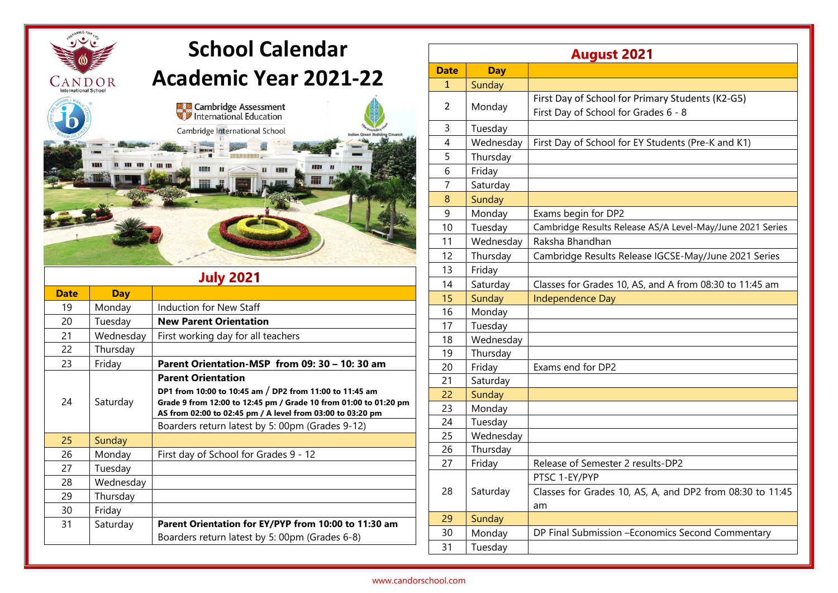

## **July 2021**

| <b>Date</b> | Day       |                                                                                                                                |
|-------------|-----------|--------------------------------------------------------------------------------------------------------------------------------|
| 19          | Monday    | Induction for New Staff                                                                                                        |
| 20          | Tuesday   | <b>New Parent Orientation</b>                                                                                                  |
| 21          | Wednesday | First working day for all teachers                                                                                             |
| 22          | Thursday  |                                                                                                                                |
| 23          | Friday    | Parent Orientation-MSP from 09: 30 - 10: 30 am                                                                                 |
|             |           | <b>Parent Orientation</b>                                                                                                      |
|             |           | DP1 from 10:00 to 10:45 am / DP2 from 11:00 to 11:45 am                                                                        |
| 24          | Saturday  | Grade 9 from 12:00 to 12:45 pm / Grade 10 from 01:00 to 01:20 pm<br>AS from 02:00 to 02:45 pm / A level from 03:00 to 03:20 pm |
|             |           | Boarders return latest by 5: 00pm (Grades 9-12)                                                                                |
| 25          | Sunday    |                                                                                                                                |
| 26          | Monday    | First day of School for Grades 9 - 12                                                                                          |
| 27          | Tuesday   |                                                                                                                                |
| 28          | Wednesday |                                                                                                                                |
| 29          | Thursday  |                                                                                                                                |
| 30          | Friday    |                                                                                                                                |
| 31          | Saturday  | Parent Orientation for EY/PYP from 10:00 to 11:30 am                                                                           |
|             |           | Boarders return latest by 5: 00pm (Grades 6-8)                                                                                 |

|                | <b>August 2021</b> |                                                                                          |  |
|----------------|--------------------|------------------------------------------------------------------------------------------|--|
| <b>Date</b>    | <b>Day</b>         |                                                                                          |  |
| $\mathbf{1}$   | Sunday             |                                                                                          |  |
| 2              | Monday             | First Day of School for Primary Students (K2-G5)<br>First Day of School for Grades 6 - 8 |  |
| 3              | Tuesday            |                                                                                          |  |
| $\overline{4}$ | Wednesday          | First Day of School for EY Students (Pre-K and K1)                                       |  |
| 5              | Thursday           |                                                                                          |  |
| 6              | Friday             |                                                                                          |  |
| $\overline{7}$ | Saturday           |                                                                                          |  |
| 8              | Sunday             |                                                                                          |  |
| 9              | Monday             | Exams begin for DP2                                                                      |  |
| 10             | Tuesday            | Cambridge Results Release AS/A Level-May/June 2021 Series                                |  |
| 11             | Wednesday          | Raksha Bhandhan                                                                          |  |
| 12             | Thursday           | Cambridge Results Release IGCSE-May/June 2021 Series                                     |  |
| 13             | Friday             |                                                                                          |  |
| 14             | Saturday           | Classes for Grades 10, AS, and A from 08:30 to 11:45 am                                  |  |
| 15             | Sunday             | Independence Day                                                                         |  |
| 16             | Monday             |                                                                                          |  |
| 17             | Tuesday            |                                                                                          |  |
| 18             | Wednesday          |                                                                                          |  |
| 19             | Thursday           |                                                                                          |  |
| 20             | Friday             | Exams end for DP2                                                                        |  |
| 21             | Saturday           |                                                                                          |  |
| 22             | Sunday             |                                                                                          |  |
| 23             | Monday             |                                                                                          |  |
| 24             | Tuesday            |                                                                                          |  |
| 25             | Wednesday          |                                                                                          |  |
| 26             | Thursday           |                                                                                          |  |
| 27             | Friday             | Release of Semester 2 results-DP2                                                        |  |
|                |                    | PTSC 1-EY/PYP                                                                            |  |
| 28             | Saturday           | Classes for Grades 10, AS, A, and DP2 from 08:30 to 11:45                                |  |
|                |                    | am                                                                                       |  |
| 29             | Sunday             |                                                                                          |  |
| 30             | Monday             | DP Final Submission - Economics Second Commentary                                        |  |
| 31             | Tuesday            |                                                                                          |  |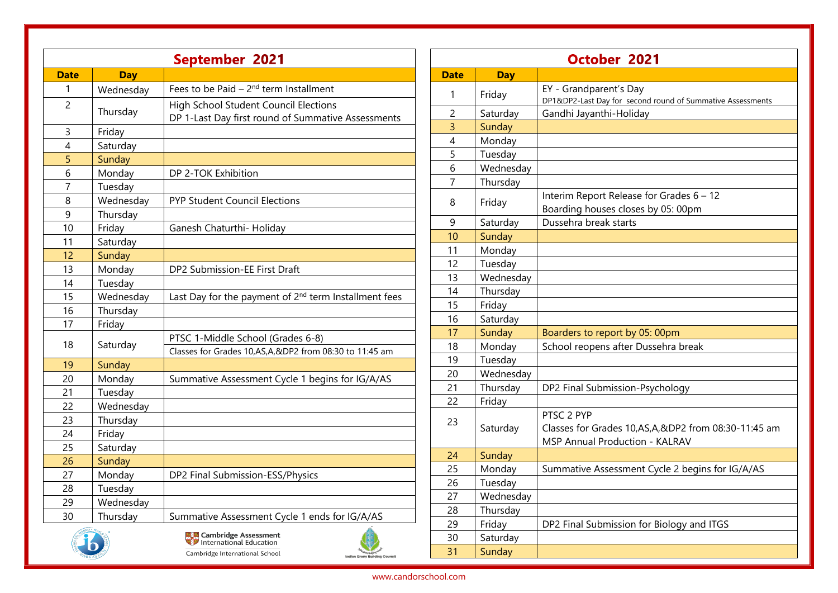| <b>September 2021</b> |            |                                                                                                    |
|-----------------------|------------|----------------------------------------------------------------------------------------------------|
| <b>Date</b>           | <b>Day</b> |                                                                                                    |
| 1                     | Wednesday  | Fees to be Paid $-2^{nd}$ term Installment                                                         |
| $\overline{c}$        | Thursday   | <b>High School Student Council Elections</b><br>DP 1-Last Day first round of Summative Assessments |
| 3                     | Friday     |                                                                                                    |
| 4                     | Saturday   |                                                                                                    |
| 5                     | Sunday     |                                                                                                    |
| 6                     | Monday     | DP 2-TOK Exhibition                                                                                |
| $\overline{7}$        | Tuesday    |                                                                                                    |
| 8                     | Wednesday  | <b>PYP Student Council Elections</b>                                                               |
| 9                     | Thursday   |                                                                                                    |
| 10                    | Friday     | Ganesh Chaturthi- Holiday                                                                          |
| 11                    | Saturday   |                                                                                                    |
| 12                    | Sunday     |                                                                                                    |
| 13                    | Monday     | DP2 Submission-EE First Draft                                                                      |
| 14                    | Tuesday    |                                                                                                    |
| 15                    | Wednesday  | Last Day for the payment of 2 <sup>nd</sup> term Installment fees                                  |
| 16                    | Thursday   |                                                                                                    |
| 17                    | Friday     |                                                                                                    |
| 18                    | Saturday   | PTSC 1-Middle School (Grades 6-8)<br>Classes for Grades 10,AS,A,&DP2 from 08:30 to 11:45 am        |
| 19                    | Sunday     |                                                                                                    |
| 20                    | Monday     | Summative Assessment Cycle 1 begins for IG/A/AS                                                    |
| 21                    | Tuesday    |                                                                                                    |
| 22                    | Wednesday  |                                                                                                    |
| 23                    | Thursday   |                                                                                                    |
| 24                    | Friday     |                                                                                                    |
| 25                    | Saturday   |                                                                                                    |
| 26                    | Sunday     |                                                                                                    |
| 27                    | Monday     | DP2 Final Submission-ESS/Physics                                                                   |
| 28                    | Tuesday    |                                                                                                    |
| 29                    | Wednesday  |                                                                                                    |
| 30                    | Thursday   | Summative Assessment Cycle 1 ends for IG/A/AS                                                      |
|                       |            | <b>Example 2</b> Cambridge Assessment<br>International Education<br>Cambridge International School |

| <b>October 2021</b> |            |                                                                                                               |  |
|---------------------|------------|---------------------------------------------------------------------------------------------------------------|--|
| <b>Date</b>         | <b>Day</b> |                                                                                                               |  |
| 1                   | Friday     | EY - Grandparent's Day<br>DP1&DP2-Last Day for second round of Summative Assessments                          |  |
| 2                   | Saturday   | Gandhi Jayanthi-Holiday                                                                                       |  |
| $\overline{3}$      | Sunday     |                                                                                                               |  |
| 4                   | Monday     |                                                                                                               |  |
| 5                   | Tuesday    |                                                                                                               |  |
| 6                   | Wednesday  |                                                                                                               |  |
| $\overline{7}$      | Thursday   |                                                                                                               |  |
| 8                   | Friday     | Interim Report Release for Grades 6 - 12<br>Boarding houses closes by 05: 00pm                                |  |
| 9                   | Saturday   | Dussehra break starts                                                                                         |  |
| 10                  | Sunday     |                                                                                                               |  |
| 11                  | Monday     |                                                                                                               |  |
| 12                  | Tuesday    |                                                                                                               |  |
| 13                  | Wednesday  |                                                                                                               |  |
| 14                  | Thursday   |                                                                                                               |  |
| 15                  | Friday     |                                                                                                               |  |
| 16                  | Saturday   |                                                                                                               |  |
| 17                  | Sunday     | Boarders to report by 05: 00pm                                                                                |  |
| 18                  | Monday     | School reopens after Dussehra break                                                                           |  |
| 19                  | Tuesday    |                                                                                                               |  |
| 20                  | Wednesday  |                                                                                                               |  |
| 21                  | Thursday   | DP2 Final Submission-Psychology                                                                               |  |
| 22                  | Friday     |                                                                                                               |  |
| 23                  | Saturday   | PTSC 2 PYP<br>Classes for Grades 10, AS, A, &DP2 from 08:30-11:45 am<br><b>MSP Annual Production - KALRAV</b> |  |
| 24                  | Sunday     |                                                                                                               |  |
| 25                  | Monday     | Summative Assessment Cycle 2 begins for IG/A/AS                                                               |  |
| 26                  | Tuesday    |                                                                                                               |  |
| 27                  | Wednesday  |                                                                                                               |  |
| 28                  | Thursday   |                                                                                                               |  |
| 29                  | Friday     | DP2 Final Submission for Biology and ITGS                                                                     |  |
| 30                  | Saturday   |                                                                                                               |  |
| 31                  | Sunday     |                                                                                                               |  |

Indian Green Building Council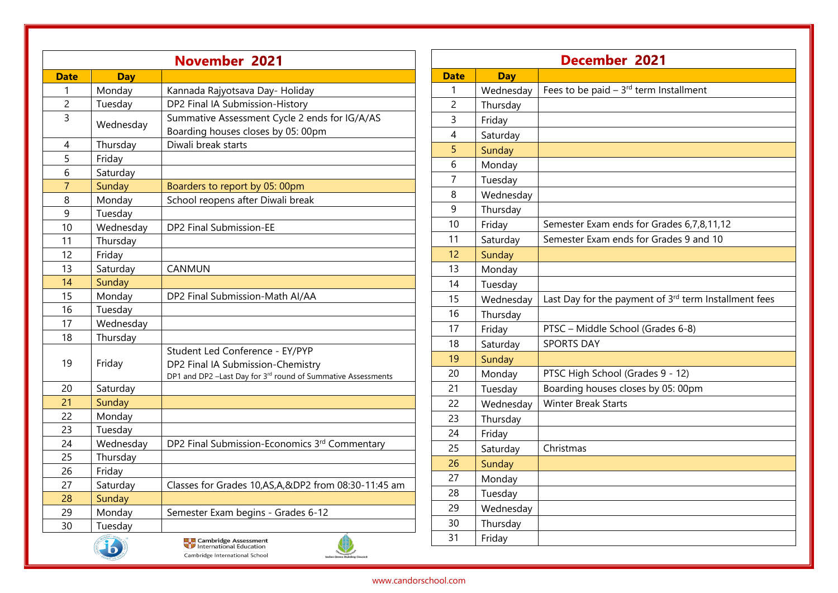| <b>November 2021</b> |            |                                                              |
|----------------------|------------|--------------------------------------------------------------|
| <b>Date</b>          | <b>Day</b> |                                                              |
| 1                    | Monday     | Kannada Rajyotsava Day- Holiday                              |
| $\overline{c}$       | Tuesday    | DP2 Final IA Submission-History                              |
| 3                    |            | Summative Assessment Cycle 2 ends for IG/A/AS                |
|                      | Wednesday  | Boarding houses closes by 05: 00pm                           |
| 4                    | Thursday   | Diwali break starts                                          |
| 5                    | Friday     |                                                              |
| 6                    | Saturday   |                                                              |
| $\overline{7}$       | Sunday     | Boarders to report by 05: 00pm                               |
| 8                    | Monday     | School reopens after Diwali break                            |
| 9                    | Tuesday    |                                                              |
| 10                   | Wednesday  | DP2 Final Submission-EE                                      |
| 11                   | Thursday   |                                                              |
| 12                   | Friday     |                                                              |
| 13                   | Saturday   | CANMUN                                                       |
| 14                   | Sunday     |                                                              |
| 15                   | Monday     | DP2 Final Submission-Math Al/AA                              |
| 16                   | Tuesday    |                                                              |
| 17                   | Wednesday  |                                                              |
| 18                   | Thursday   |                                                              |
|                      |            | Student Led Conference - EY/PYP                              |
| 19                   | Friday     | DP2 Final IA Submission-Chemistry                            |
|                      |            | DP1 and DP2 -Last Day for 3rd round of Summative Assessments |
| 20                   | Saturday   |                                                              |
| 21                   | Sunday     |                                                              |
| 22                   | Monday     |                                                              |
| 23                   | Tuesday    |                                                              |
| 24                   | Wednesday  | DP2 Final Submission-Economics 3rd Commentary                |
| 25                   | Thursday   |                                                              |
| 26                   | Friday     |                                                              |
| 27                   | Saturday   | Classes for Grades 10,AS,A,&DP2 from 08:30-11:45 am          |
| 28                   | Sunday     |                                                              |
| 29                   | Monday     | Semester Exam begins - Grades 6-12                           |
| 30                   | Tuesday    | Ah.                                                          |

| <b>December 2021</b> |            |                                                       |  |
|----------------------|------------|-------------------------------------------------------|--|
| <b>Date</b>          | <b>Day</b> |                                                       |  |
| 1                    | Wednesday  | Fees to be paid $-3^{rd}$ term Installment            |  |
| $\overline{c}$       | Thursday   |                                                       |  |
| 3                    | Friday     |                                                       |  |
| 4                    | Saturday   |                                                       |  |
| 5                    | Sunday     |                                                       |  |
| 6                    | Monday     |                                                       |  |
| 7                    | Tuesday    |                                                       |  |
| 8                    | Wednesday  |                                                       |  |
| 9                    | Thursday   |                                                       |  |
| 10                   | Friday     | Semester Exam ends for Grades 6,7,8,11,12             |  |
| 11                   | Saturday   | Semester Exam ends for Grades 9 and 10                |  |
| 12                   | Sunday     |                                                       |  |
| 13                   | Monday     |                                                       |  |
| 14                   | Tuesday    |                                                       |  |
| 15                   | Wednesday  | Last Day for the payment of 3rd term Installment fees |  |
| 16                   | Thursday   |                                                       |  |
| 17                   | Friday     | PTSC - Middle School (Grades 6-8)                     |  |
| 18                   | Saturday   | <b>SPORTS DAY</b>                                     |  |
| 19                   | Sunday     |                                                       |  |
| 20                   | Monday     | PTSC High School (Grades 9 - 12)                      |  |
| 21                   | Tuesday    | Boarding houses closes by 05: 00pm                    |  |
| 22                   | Wednesday  | <b>Winter Break Starts</b>                            |  |
| 23                   | Thursday   |                                                       |  |
| 24                   | Friday     |                                                       |  |
| 25                   | Saturday   | Christmas                                             |  |
| 26                   | Sunday     |                                                       |  |
| 27                   | Monday     |                                                       |  |
| 28                   | Tuesday    |                                                       |  |
| 29                   | Wednesday  |                                                       |  |
| 30                   | Thursday   |                                                       |  |
| 31                   | Friday     |                                                       |  |

**ELE** Cambridge Assessment<br>Wilhternational Education Cambridge International School

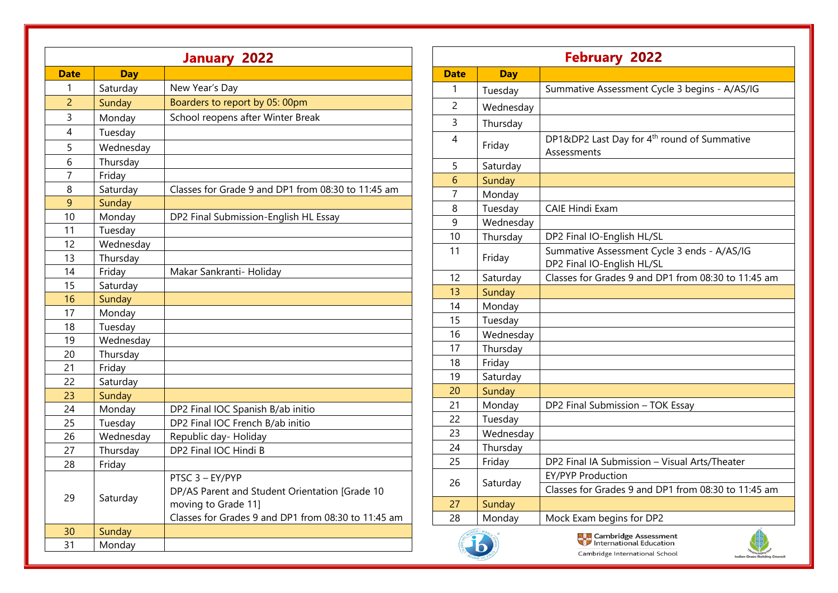| <b>January 2022</b> |            |                                                                                                                                                 |
|---------------------|------------|-------------------------------------------------------------------------------------------------------------------------------------------------|
| <b>Date</b>         | <b>Day</b> |                                                                                                                                                 |
| 1                   | Saturday   | New Year's Day                                                                                                                                  |
| $\overline{2}$      | Sunday     | Boarders to report by 05: 00pm                                                                                                                  |
| $\overline{3}$      | Monday     | School reopens after Winter Break                                                                                                               |
| 4                   | Tuesday    |                                                                                                                                                 |
| 5                   | Wednesday  |                                                                                                                                                 |
| 6                   | Thursday   |                                                                                                                                                 |
| $\overline{7}$      | Friday     |                                                                                                                                                 |
| 8                   | Saturday   | Classes for Grade 9 and DP1 from 08:30 to 11:45 am                                                                                              |
| 9                   | Sunday     |                                                                                                                                                 |
| 10                  | Monday     | DP2 Final Submission-English HL Essay                                                                                                           |
| 11                  | Tuesday    |                                                                                                                                                 |
| 12                  | Wednesday  |                                                                                                                                                 |
| 13                  | Thursday   |                                                                                                                                                 |
| 14                  | Friday     | Makar Sankranti- Holiday                                                                                                                        |
| 15                  | Saturday   |                                                                                                                                                 |
| 16                  | Sunday     |                                                                                                                                                 |
| 17                  | Monday     |                                                                                                                                                 |
| 18                  | Tuesday    |                                                                                                                                                 |
| 19                  | Wednesday  |                                                                                                                                                 |
| 20                  | Thursday   |                                                                                                                                                 |
| 21                  | Friday     |                                                                                                                                                 |
| 22                  | Saturday   |                                                                                                                                                 |
| 23                  | Sunday     |                                                                                                                                                 |
| 24                  | Monday     | DP2 Final IOC Spanish B/ab initio                                                                                                               |
| 25                  | Tuesday    | DP2 Final IOC French B/ab initio                                                                                                                |
| 26                  | Wednesday  | Republic day- Holiday                                                                                                                           |
| 27                  | Thursday   | DP2 Final IOC Hindi B                                                                                                                           |
| 28                  | Friday     |                                                                                                                                                 |
| 29                  | Saturday   | PTSC 3 - EY/PYP<br>DP/AS Parent and Student Orientation [Grade 10<br>moving to Grade 11]<br>Classes for Grades 9 and DP1 from 08:30 to 11:45 am |
| 30                  | Sunday     |                                                                                                                                                 |
| 31                  | Monday     |                                                                                                                                                 |

| <b>February 2022</b> |            |                                                                           |
|----------------------|------------|---------------------------------------------------------------------------|
| <b>Date</b>          | <b>Day</b> |                                                                           |
| 1                    | Tuesday    | Summative Assessment Cycle 3 begins - A/AS/IG                             |
| $\overline{c}$       | Wednesday  |                                                                           |
| 3                    | Thursday   |                                                                           |
| 4                    | Friday     | DP1&DP2 Last Day for 4 <sup>th</sup> round of Summative<br>Assessments    |
| 5                    | Saturday   |                                                                           |
| 6                    | Sunday     |                                                                           |
| 7                    | Monday     |                                                                           |
| 8                    | Tuesday    | <b>CAIE Hindi Exam</b>                                                    |
| 9                    | Wednesday  |                                                                           |
| 10                   | Thursday   | DP2 Final IO-English HL/SL                                                |
| 11                   | Friday     | Summative Assessment Cycle 3 ends - A/AS/IG<br>DP2 Final IO-English HL/SL |
| 12                   | Saturday   | Classes for Grades 9 and DP1 from 08:30 to 11:45 am                       |
| 13                   | Sunday     |                                                                           |
| 14                   | Monday     |                                                                           |
| 15                   | Tuesday    |                                                                           |
| 16                   | Wednesday  |                                                                           |
| 17                   | Thursday   |                                                                           |
| 18                   | Friday     |                                                                           |
| 19                   | Saturday   |                                                                           |
| 20                   | Sunday     |                                                                           |
| 21                   | Monday     | DP2 Final Submission - TOK Essay                                          |
| 22                   | Tuesday    |                                                                           |
| 23                   | Wednesday  |                                                                           |
| 24                   | Thursday   |                                                                           |
| 25                   | Friday     | DP2 Final IA Submission - Visual Arts/Theater                             |
|                      |            | <b>EY/PYP Production</b>                                                  |
| 26                   | Saturday   | Classes for Grades 9 and DP1 from 08:30 to 11:45 am                       |
| 27                   | Sunday     |                                                                           |
| 28                   | Monday     | Mock Exam begins for DP2                                                  |



**Example 2** Cambridge Assessment<br>
Signal Education Cambridge International School

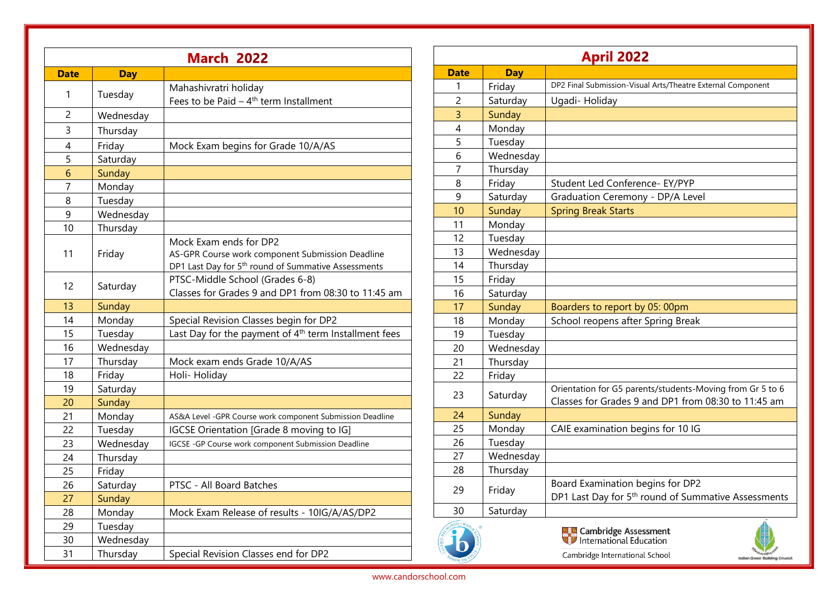|                | <b>March 2022</b> |                                                                                                                                               |  |
|----------------|-------------------|-----------------------------------------------------------------------------------------------------------------------------------------------|--|
| <b>Date</b>    | <b>Day</b>        |                                                                                                                                               |  |
| 1              | Tuesday           | Mahashivratri holiday<br>Fees to be Paid $-4$ <sup>th</sup> term Installment                                                                  |  |
| $\overline{c}$ | Wednesday         |                                                                                                                                               |  |
| $\overline{3}$ | Thursday          |                                                                                                                                               |  |
| 4              | Friday            | Mock Exam begins for Grade 10/A/AS                                                                                                            |  |
| 5              | Saturday          |                                                                                                                                               |  |
| 6              | Sunday            |                                                                                                                                               |  |
| $\overline{7}$ | Monday            |                                                                                                                                               |  |
| 8              | Tuesday           |                                                                                                                                               |  |
| 9              | Wednesday         |                                                                                                                                               |  |
| 10             | Thursday          |                                                                                                                                               |  |
| 11             | Friday            | Mock Exam ends for DP2<br>AS-GPR Course work component Submission Deadline<br>DP1 Last Day for 5 <sup>th</sup> round of Summative Assessments |  |
| 12             | Saturday          | PTSC-Middle School (Grades 6-8)<br>Classes for Grades 9 and DP1 from 08:30 to 11:45 am                                                        |  |
| 13             | Sunday            |                                                                                                                                               |  |
| 14             | Monday            | Special Revision Classes begin for DP2                                                                                                        |  |
| 15             | Tuesday           | Last Day for the payment of 4 <sup>th</sup> term Installment fees                                                                             |  |
| 16             | Wednesday         |                                                                                                                                               |  |
| 17             | Thursday          | Mock exam ends Grade 10/A/AS                                                                                                                  |  |
| 18             | Friday            | Holi-Holiday                                                                                                                                  |  |
| 19             | Saturday          |                                                                                                                                               |  |
| 20             | Sunday            |                                                                                                                                               |  |
| 21             | Monday            | AS&A Level -GPR Course work component Submission Deadline                                                                                     |  |
| 22             | Tuesday           | IGCSE Orientation [Grade 8 moving to IG]                                                                                                      |  |
| 23             | Wednesday         | IGCSE -GP Course work component Submission Deadline                                                                                           |  |
| 24             | Thursday          |                                                                                                                                               |  |
| 25             | Friday            |                                                                                                                                               |  |
| 26             | Saturday          | PTSC - All Board Batches                                                                                                                      |  |
| 27             | Sunday            |                                                                                                                                               |  |
| 28             | Monday            | Mock Exam Release of results - 10IG/A/AS/DP2                                                                                                  |  |
| 29             | Tuesday           |                                                                                                                                               |  |
| 30             | Wednesday         |                                                                                                                                               |  |
| 31             | Thursday          | Special Revision Classes end for DP2                                                                                                          |  |

| <b>April 2022</b>  |            |                                                                                                                                                   |  |
|--------------------|------------|---------------------------------------------------------------------------------------------------------------------------------------------------|--|
| <b>Date</b>        | <b>Day</b> |                                                                                                                                                   |  |
| 1                  | Friday     | DP2 Final Submission-Visual Arts/Theatre External Component                                                                                       |  |
| $\overline{c}$     | Saturday   | Ugadi- Holiday                                                                                                                                    |  |
| $\overline{3}$     | Sunday     |                                                                                                                                                   |  |
| 4                  | Monday     |                                                                                                                                                   |  |
| 5                  | Tuesday    |                                                                                                                                                   |  |
| 6                  | Wednesday  |                                                                                                                                                   |  |
| $\overline{7}$     | Thursday   |                                                                                                                                                   |  |
| 8                  | Friday     | Student Led Conference- EY/PYP                                                                                                                    |  |
| 9                  | Saturday   | Graduation Ceremony - DP/A Level                                                                                                                  |  |
| 10                 | Sunday     | <b>Spring Break Starts</b>                                                                                                                        |  |
| 11                 | Monday     |                                                                                                                                                   |  |
| 12                 | Tuesday    |                                                                                                                                                   |  |
| 13                 | Wednesday  |                                                                                                                                                   |  |
| 14                 | Thursday   |                                                                                                                                                   |  |
| 15                 | Friday     |                                                                                                                                                   |  |
| 16                 | Saturday   |                                                                                                                                                   |  |
| 17                 | Sunday     | Boarders to report by 05: 00pm                                                                                                                    |  |
| 18                 | Monday     | School reopens after Spring Break                                                                                                                 |  |
| 19                 | Tuesday    |                                                                                                                                                   |  |
| 20                 | Wednesday  |                                                                                                                                                   |  |
| 21                 | Thursday   |                                                                                                                                                   |  |
| 22                 | Friday     |                                                                                                                                                   |  |
| 23                 | Saturday   | Orientation for G5 parents/students-Moving from Gr 5 to 6<br>Classes for Grades 9 and DP1 from 08:30 to 11:45 am                                  |  |
| 24                 | Sunday     |                                                                                                                                                   |  |
| 25                 | Monday     | CAIE examination begins for 10 IG                                                                                                                 |  |
| 26                 | Tuesday    |                                                                                                                                                   |  |
| 27                 | Wednesday  |                                                                                                                                                   |  |
| 28                 | Thursday   |                                                                                                                                                   |  |
| 29                 | Friday     | Board Examination begins for DP2<br>DP1 Last Day for 5 <sup>th</sup> round of Summative Assessments                                               |  |
| 30                 | Saturday   |                                                                                                                                                   |  |
| NDO . WORLD<br>. . |            | <b>de la provincia de la provincia de la provincia de la provincia de la provincia de la provincia de la provincia</b><br>圆圈 Cambridge Assessment |  |



**Example 25** Cambridge Assessment<br> **Example 25** International Education Cambridge International School

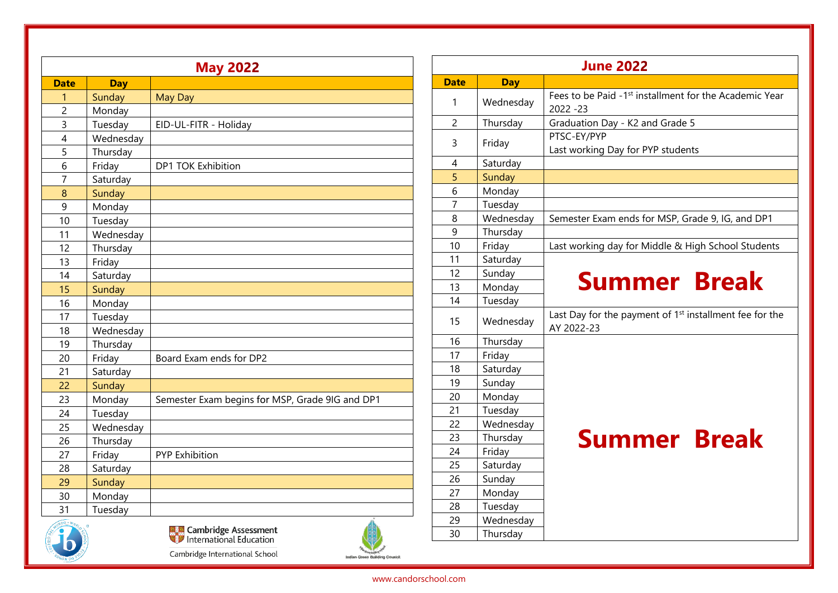|                          | <b>May 2022</b> |                                                 |  |
|--------------------------|-----------------|-------------------------------------------------|--|
| <b>Date</b>              | <b>Day</b>      |                                                 |  |
| 1                        | Sunday          | May Day                                         |  |
| $\overline{c}$           | Monday          |                                                 |  |
| $\overline{3}$           | Tuesday         | EID-UL-FITR - Holiday                           |  |
| $\overline{\mathcal{A}}$ | Wednesday       |                                                 |  |
| 5                        | Thursday        |                                                 |  |
| 6                        | Friday          | <b>DP1 TOK Exhibition</b>                       |  |
| $\overline{7}$           | Saturday        |                                                 |  |
| 8                        | Sunday          |                                                 |  |
| 9                        | Monday          |                                                 |  |
| 10                       | Tuesday         |                                                 |  |
| 11                       | Wednesday       |                                                 |  |
| 12                       | Thursday        |                                                 |  |
| 13                       | Friday          |                                                 |  |
| 14                       | Saturday        |                                                 |  |
| 15                       | Sunday          |                                                 |  |
| 16                       | Monday          |                                                 |  |
| 17                       | Tuesday         |                                                 |  |
| 18                       | Wednesday       |                                                 |  |
| 19                       | Thursday        |                                                 |  |
| 20                       | Friday          | Board Exam ends for DP2                         |  |
| 21                       | Saturday        |                                                 |  |
| 22                       | Sunday          |                                                 |  |
| 23                       | Monday          | Semester Exam begins for MSP, Grade 9IG and DP1 |  |
| 24                       | Tuesday         |                                                 |  |
| 25                       | Wednesday       |                                                 |  |
| 26                       | Thursday        |                                                 |  |
| 27                       | Friday          | <b>PYP Exhibition</b>                           |  |
| 28                       | Saturday        |                                                 |  |
| 29                       | Sunday          |                                                 |  |
| 30                       | Monday          |                                                 |  |
| 31                       | Tuesday         |                                                 |  |
|                          |                 |                                                 |  |

|                | <b>June 2022</b> |                                                                                   |  |
|----------------|------------------|-----------------------------------------------------------------------------------|--|
| <b>Date</b>    | <b>Day</b>       |                                                                                   |  |
| 1              | Wednesday        | Fees to be Paid -1 <sup>st</sup> installment for the Academic Year<br>2022 - 23   |  |
| $\overline{2}$ | Thursday         | Graduation Day - K2 and Grade 5                                                   |  |
| 3              | Friday           | PTSC-EY/PYP<br>Last working Day for PYP students                                  |  |
| 4              | Saturday         |                                                                                   |  |
| 5              | Sunday           |                                                                                   |  |
| 6              | Monday           |                                                                                   |  |
| $\overline{7}$ | Tuesday          |                                                                                   |  |
| 8              | Wednesday        | Semester Exam ends for MSP, Grade 9, IG, and DP1                                  |  |
| 9              | Thursday         |                                                                                   |  |
| 10             | Friday           | Last working day for Middle & High School Students                                |  |
| 11             | Saturday         |                                                                                   |  |
| 12             | Sunday           |                                                                                   |  |
| 13             | Monday           | Summer Break                                                                      |  |
| 14             | Tuesday          |                                                                                   |  |
| 15             | Wednesday        | Last Day for the payment of 1 <sup>st</sup> installment fee for the<br>AY 2022-23 |  |
| 16             | Thursday         |                                                                                   |  |
| 17             | Friday           |                                                                                   |  |
| 18             | Saturday         |                                                                                   |  |
| 19             | Sunday           |                                                                                   |  |
| 20             | Monday           |                                                                                   |  |
| 21             | Tuesday          |                                                                                   |  |
| 22             | Wednesday        |                                                                                   |  |
| 23             | Thursday         | <b>Summer Break</b>                                                               |  |
| 24             | Friday           |                                                                                   |  |
| 25             | Saturday         |                                                                                   |  |
| 26             | Sunday           |                                                                                   |  |
| 27             | Monday           |                                                                                   |  |
| 28             | Tuesday          |                                                                                   |  |
| 29             | Wednesday        |                                                                                   |  |
| 30             | Thursday         |                                                                                   |  |